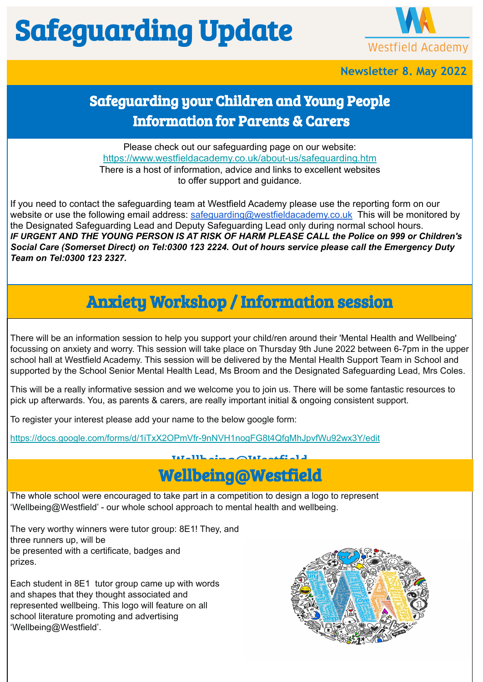# Safeguarding Update



#### **Newsletter 8. May 2022**

## Safeguarding your Children and Young People Information for Parents & Carers

Please check out our safeguarding page on our website: <https://www.westfieldacademy.co.uk/about-us/safeguarding.htm> There is a host of information, advice and links to excellent websites to offer support and guidance.

If you need to contact the safeguarding team at Westfield Academy please use the reporting form on our website or use the following email address: [safeguarding@westfieldacademy.co.uk](mailto:safeguarding@westfieldacademy.co.uk) This will be monitored by the Designated Safeguarding Lead and Deputy Safeguarding Lead only during normal school hours. *IF URGENT AND THE YOUNG PERSON IS AT RISK OF HARM PLEASE CALL the Police on 999 or Children's Social Care (Somerset Direct) on Tel:0300 123 2224. Out of hours service please call the Emergency Duty Team on Tel:0300 123 2327.*

## Anxiety Workshop / Information session

There will be an information session to help you support your child/ren around their 'Mental Health and Wellbeing' focussing on anxiety and worry. This session will take place on Thursday 9th June 2022 between 6-7pm in the upper school hall at Westfield Academy. This session will be delivered by the Mental Health Support Team in School and supported by the School Senior Mental Health Lead, Ms Broom and the Designated Safeguarding Lead, Mrs Coles.

This will be a really informative session and we welcome you to join us. There will be some fantastic resources to pick up afterwards. You, as parents & carers, are really important initial & ongoing consistent support.

To register your interest please add your name to the below google form:

<https://docs.google.com/forms/d/1iTxX2OPmVfr-9nNVH1nogFG8t4QfgMhJpvfWu92wx3Y/edit>

#### Wellbeing@Westfield Wellbeing@Westfield

The whole school were encouraged to take part in a competition to design a logo to represent 'Wellbeing@Westfield' - our whole school approach to mental health and wellbeing.

The very worthy winners were tutor group: 8E1! They, and three runners up, will be be presented with a certificate, badges and prizes.

Each student in 8E1 tutor group came up with words and shapes that they thought associated and represented wellbeing. This logo will feature on all school literature promoting and advertising 'Wellbeing@Westfield'.